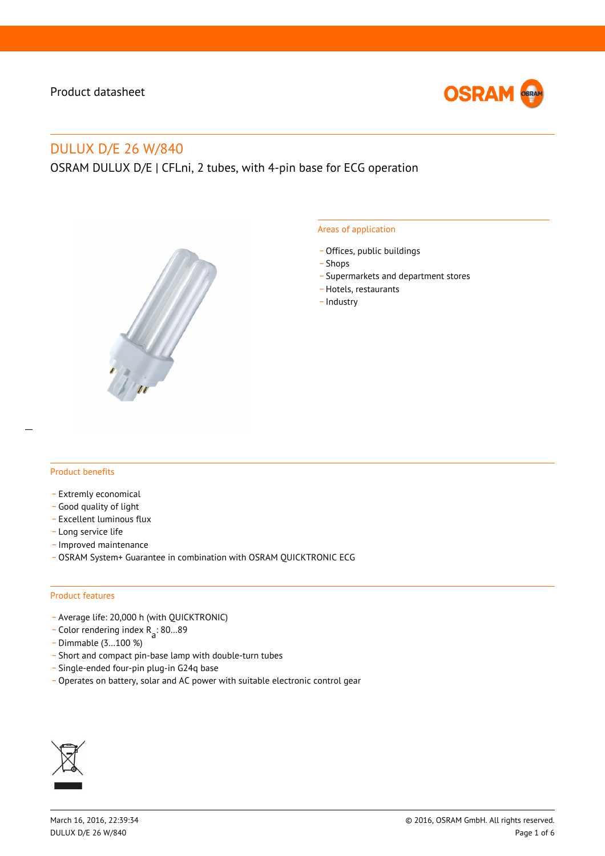

# DULUX D/E 26 W/840

OSRAM DULUX D/E | CFLni, 2 tubes, with 4-pin base for ECG operation



#### Areas of application

- Offices, public buildings
- \_ Shops
- \_ Supermarkets and department stores
- Hotels, restaurants
- Industry

### Product benefits

- Extremly economical
- \_ Good quality of light
- \_ Excellent luminous flux
- Long service life
- \_ Improved maintenance
- \_ OSRAM System+ Guarantee in combination with OSRAM QUICKTRONIC ECG

#### Product features

- \_ Average life: 20,000 h (with QUICKTRONIC)
- $\overline{C}$  Color rendering index R<sub>a</sub>: 80...89
- \_ Dimmable (3…100 %)
- \_ Short and compact pin-base lamp with double-turn tubes
- \_ Single-ended four-pin plug-in G24q base
- Operates on battery, solar and AC power with suitable electronic control gear

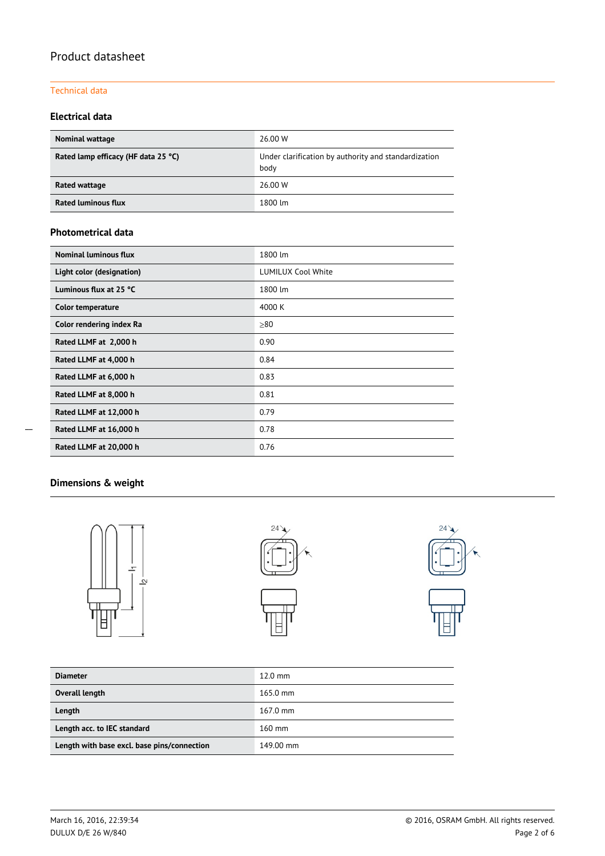### Technical data

### **Electrical data**

| <b>Nominal wattage</b>              | 26.00 W                                                      |  |  |  |
|-------------------------------------|--------------------------------------------------------------|--|--|--|
| Rated lamp efficacy (HF data 25 °C) | Under clarification by authority and standardization<br>body |  |  |  |
| Rated wattage                       | 26.00 W                                                      |  |  |  |
| <b>Rated luminous flux</b>          | 1800 lm                                                      |  |  |  |

### **Photometrical data**

| Nominal luminous flux     | 1800 lm                   |  |  |  |
|---------------------------|---------------------------|--|--|--|
| Light color (designation) | <b>LUMILUX Cool White</b> |  |  |  |
| Luminous flux at 25 °C    | 1800 lm                   |  |  |  |
| <b>Color temperature</b>  | 4000 K                    |  |  |  |
| Color rendering index Ra  | $\geq 80$                 |  |  |  |
| Rated LLMF at 2,000 h     | 0.90                      |  |  |  |
| Rated LLMF at 4,000 h     | 0.84                      |  |  |  |
| Rated LLMF at 6,000 h     | 0.83                      |  |  |  |
| Rated LLMF at 8,000 h     | 0.81                      |  |  |  |
| Rated LLMF at 12,000 h    | 0.79                      |  |  |  |
| Rated LLMF at 16,000 h    | 0.78                      |  |  |  |
| Rated LLMF at 20,000 h    | 0.76                      |  |  |  |

# **Dimensions & weight**







| <b>Diameter</b>                             | $12.0 \text{ mm}$  |  |  |  |
|---------------------------------------------|--------------------|--|--|--|
| Overall length                              | $165.0 \text{ mm}$ |  |  |  |
| Length                                      | $167.0 \text{ mm}$ |  |  |  |
| Length acc. to IEC standard                 | $160$ mm           |  |  |  |
| Length with base excl. base pins/connection | 149.00 mm          |  |  |  |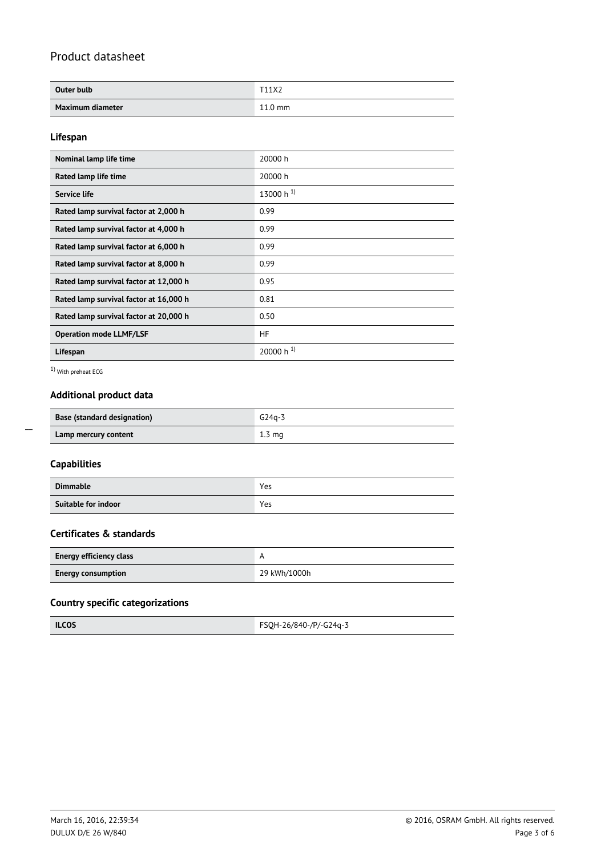| Outer bulb       | T <sub>11</sub> X <sub>2</sub> |
|------------------|--------------------------------|
| Maximum diameter | $11.0 \text{ mm}$              |

### **Lifespan**

| Nominal lamp life time                 | 20000 h        |  |  |  |
|----------------------------------------|----------------|--|--|--|
| Rated lamp life time                   | 20000 h        |  |  |  |
| Service life                           | 13000 h $^{1}$ |  |  |  |
| Rated lamp survival factor at 2,000 h  | 0.99           |  |  |  |
| Rated lamp survival factor at 4,000 h  | 0.99           |  |  |  |
| Rated lamp survival factor at 6,000 h  | 0.99           |  |  |  |
| Rated lamp survival factor at 8,000 h  | 0.99           |  |  |  |
| Rated lamp survival factor at 12,000 h | 0.95           |  |  |  |
| Rated lamp survival factor at 16,000 h | 0.81           |  |  |  |
| Rated lamp survival factor at 20,000 h | 0.50           |  |  |  |
| <b>Operation mode LLMF/LSF</b>         | HF             |  |  |  |
| Lifespan                               | 20000 h $^{1}$ |  |  |  |

1) With preheat ECG

### **Additional product data**

| <b>Base (standard designation)</b> | $G24a-3$         |  |  |  |  |
|------------------------------------|------------------|--|--|--|--|
| Lamp mercury content               | $1.3 \text{ mg}$ |  |  |  |  |

# **Capabilities**

 $\overline{a}$ 

| <b>Dimmable</b>     | Yes |
|---------------------|-----|
| Suitable for indoor | Yes |

### **Certificates & standards**

| <b>Energy efficiency class</b> |              |  |  |  |
|--------------------------------|--------------|--|--|--|
| <b>Energy consumption</b>      | 29 kWh/1000h |  |  |  |

### **Country specific categorizations**

| <b>ILCOS</b><br>FSQH-26/840-/P/-G24q-3 |  |
|----------------------------------------|--|
|----------------------------------------|--|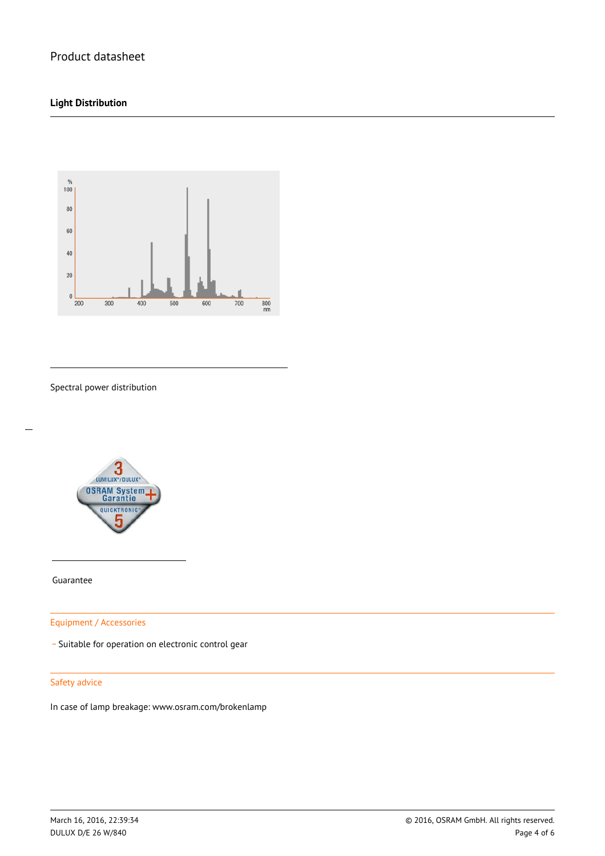### **Light Distribution**



Spectral power distribution



Guarantee

 $\overline{a}$ 

Equipment / Accessories

\_ Suitable for operation on electronic control gear

#### Safety advice

In case of lamp breakage: www.osram.com/brokenlamp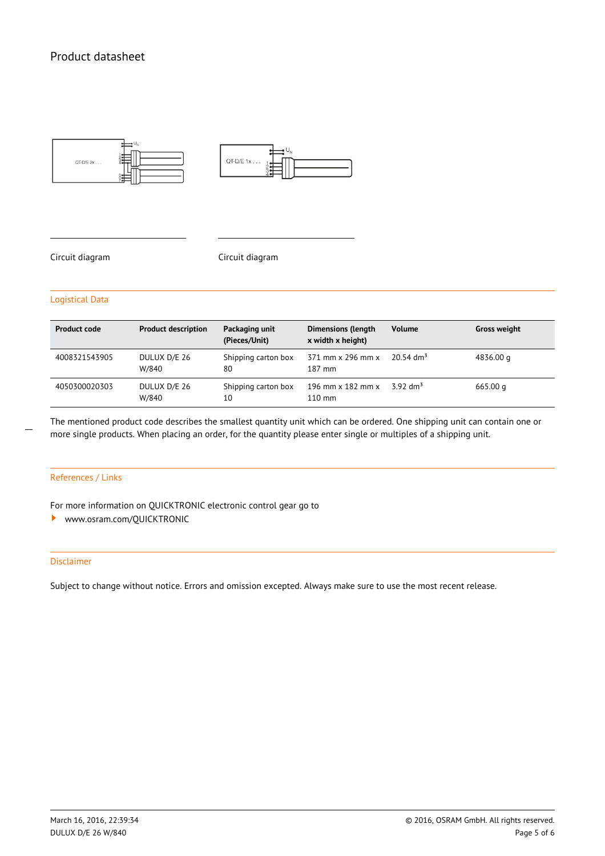

Circuit diagram Circuit diagram

#### Logistical Data

| <b>Product code</b> | <b>Product description</b> | Packaging unit<br>(Pieces/Unit) | <b>Dimensions (length</b><br>x width x height)      | <b>Volume</b>           | <b>Gross weight</b> |
|---------------------|----------------------------|---------------------------------|-----------------------------------------------------|-------------------------|---------------------|
| 4008321543905       | DULUX D/E 26<br>W/840      | Shipping carton box<br>80       | 371 mm x 296 mm x<br>$187$ mm                       | $20.54$ dm <sup>3</sup> | 4836.00 g           |
| 4050300020303       | DULUX D/E 26<br>W/840      | Shipping carton box<br>10       | 196 mm $\times$ 182 mm $\times$<br>$110 \text{ mm}$ | $392 \text{ dm}^3$      | 665.00 g            |

The mentioned product code describes the smallest quantity unit which can be ordered. One shipping unit can contain one or more single products. When placing an order, for the quantity please enter single or multiples of a shipping unit.

#### References / Links

 $\overline{a}$ 

For more information on QUICKTRONIC electronic control gear go to

<www.osram.com/QUICKTRONIC> ,

#### Disclaimer

Subject to change without notice. Errors and omission excepted. Always make sure to use the most recent release.